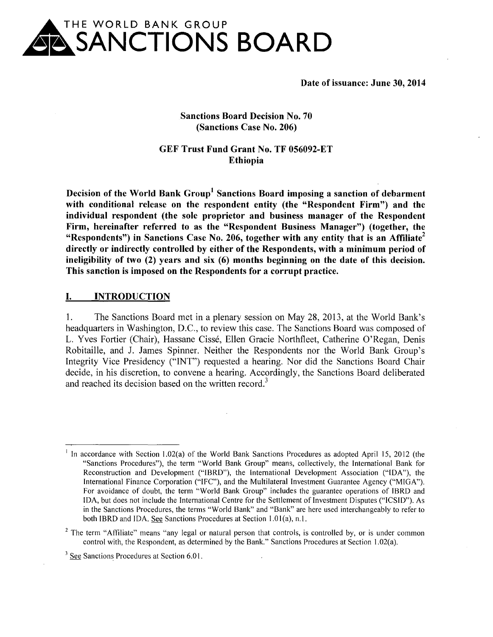

**Date of issuance: June 30, 2014** 

#### **Sanctions Board Decision No. 70 (Sanctions Case No. 206)**

#### **GEF Trust Fund Grant No. TF 056092-ET Ethiopia**

**Decision of the World Bank Group<sup>1</sup>Sanctions Board imposing a sanction of debarment with conditional release on the respondent entity (the "Respondent Firm") and the individual respondent (the sole proprietor and business manager of the Respondent Firm, hereinafter referred to as the "Respondent Business Manager") (together, the "Respondents") in Sanctions Case No. 206, together with any entity that is an Affiliate<sup>2</sup> directly or indirectly controlled by either of the Respondents, with a minimum period of ineligibility of two (2) years and six (6) months beginning on the date of this decision. This sanction is imposed on the Respondents for a corrupt practice.** 

#### **I. INTRODUCTION**

1. The Sanctions Board met in a plenary session on May 28, 2013, at the World Bank's headquarters in Washington, D.C., to review this case. The Sanctions Board was composed of L. Yves Fortier (Chair), Hassane Cisse, Ellen Gracie Northfleet, Catherine O'Regan, Denis Robitaille, and J. James Spinner. Neither the Respondents nor the World Bank Group's Integrity Vice Presidency ("INT") requested a hearing. Nor did the Sanctions Board Chair decide, in his discretion, to convene a hearing. Accordingly, the Sanctions Board deliberated and reached its decision based on the written record.<sup>3</sup>

<sup>&</sup>lt;sup>1</sup> In accordance with Section 1.02(a) of the World Bank Sanctions Procedures as adopted April 15, 2012 (the "Sanctions Procedures"), the term "World Bank Group" means, collectively, the International Bank for Reconstruction and Development ("IBRD"), the International Development Association ("IDA"), the International Finance Corporation ("IFC"), and the Multilateral Investment Guarantee Agency ("MIGA"). For avoidance of doubt, the term "World Bank Group" includes the guarantee operations of IBRD and IDA, but does not include the International Centre for the Settlement of Investment Disputes ("ICSID"). As in the Sanctions Procedures, the terms "World Bank" and "Bank" are here used interchangeably to refer to both IBRD and IDA. See Sanctions Procedures at Section 1.01(a), n.1.

<sup>&</sup>lt;sup>2</sup> The term "Affiliate" means "any legal or natural person that controls, is controlled by, or is under common control with, the Respondent, as determined by the Bank." Sanctions Procedures at Section l.02(a).

<sup>&</sup>lt;sup>3</sup> See Sanctions Procedures at Section 6.01.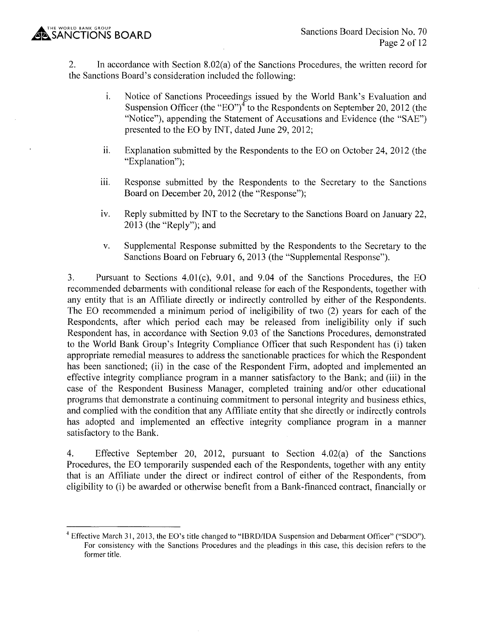2. In accordance with Section 8.02(a) of the Sanctions Procedures, the written record for the Sanctions Board's consideration included the following:

- 1. Notice of Sanctions Proceedings issued by the World Bank's Evaluation and Suspension Officer (the "EO")<sup> $4$ </sup> to the Respondents on September 20, 2012 (the "Notice"), appending the Statement of Accusations and Evidence (the "SAE") presented to the EO by INT, dated June 29, 2012;
- $11.$  Explanation submitted by the Respondents to the EO on October 24, 2012 (the "Explanation"):
- iii. Response submitted by the Respondents to the Secretary to the Sanctions Board on December 20, 2012 (the "Response");
- iv. Reply submitted by INT to the Secretary to the Sanctions Board on January 22, 2013 (the "Reply"); and
- v. Supplemental Response submitted by the Respondents to the Secretary to the Sanctions Board on February 6, 2013 (the "Supplemental Response").

3. Pursuant to Sections 4.0l(c), 9.01, and 9.04 of the Sanctions Procedures, the EO recommended debarments with conditional release for each of the Respondents, together with any entity that is an Affiliate directly or indirectly controlled by either of the Respondents. The EO recommended a minimum period of ineligibility of two (2) years for each of the Respondents, after which period each may be released from ineligibility only if such Respondent has, in accordance with Section 9.03 of the Sanctions Procedures, demonstrated to the World Bank Group's Integrity Compliance Officer that such Respondent has (i) taken appropriate remedial measures to address the sanctionable practices for which the Respondent has been sanctioned; (ii) in the case of the Respondent Firm, adopted and implemented an effective integrity compliance program in a manner satisfactory to the Bank; and (iii) in the case of the Respondent Business Manager, completed training and/or other educational programs that demonstrate a continuing commitment to personal integrity and business ethics, and complied with the condition that any Affiliate entity that she directly or indirectly controls has adopted and implemented an effective integrity compliance program in a manner satisfactory to the Bank.

4. Effective September 20, 2012, pursuant to Section 4.02(a) of the Sanctions Procedures, the EO temporarily suspended each of the Respondents, together with any entity that is an Affiliate under the direct or indirect control of either of the Respondents, from eligibility to (i) be awarded or otherwise benefit from a Bank-financed contract, financially or

<sup>&</sup>lt;sup>4</sup> Effective March 31, 2013, the EO's title changed to "IBRD/IDA Suspension and Debarment Officer" ("SDO"). For consistency with the Sanctions Procedures and the pleadings in this case, this decision refers to the former title.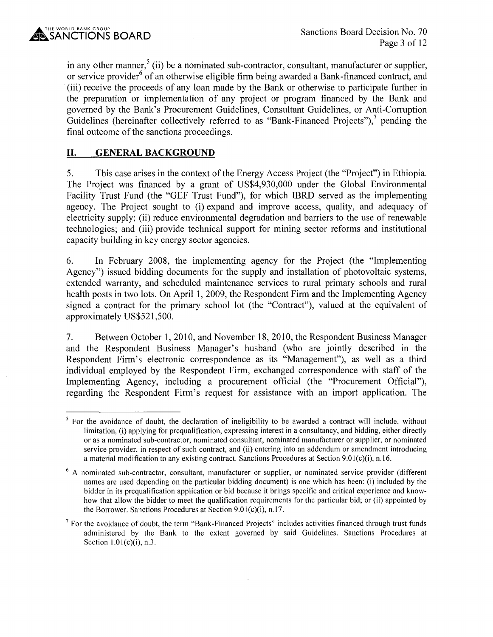in any other manner,<sup>5</sup> (ii) be a nominated sub-contractor, consultant, manufacturer or supplier, or service provider<sup>6</sup> of an otherwise eligible firm being awarded a Bank-financed contract, and (iii) receive the proceeds of any loan made by the Bank or otherwise to participate further in the preparation or implementation of any project or program financed by the Bank and governed by the Bank's Procurement Guidelines, Consultant Guidelines, or Anti-Corruption Guidelines (hereinafter collectively referred to as "Bank-Financed Projects"), $<sup>7</sup>$  pending the</sup> final outcome of the sanctions proceedings.

# **II. GENERAL BACKGROUND**

5. This case arises in the context of the Energy Access Project (the "Project") in Ethiopia. The Project was financed by a grant of US\$4,930,000 under the Global Environmental Facility Trust Fund (the "GEF Trust Fund"), for which IBRD served as the implementing agency. The Project sought to (i) expand and improve access, quality, and adequacy of electricity supply; (ii) reduce environmental degradation and barriers to the use of renewable technologies; and (iii) provide technical support for mining sector reforms and institutional capacity building in key energy sector agencies.

6. In February 2008, the implementing agency for the Project (the "Implementing Agency") issued bidding documents for the supply and installation of photovoltaic systems, extended warranty, and scheduled maintenance services to rural primary schools and rural health posts in two lots. On April 1, 2009, the Respondent Firm and the Implementing Agency signed a contract for the primary school lot (the "Contract"), valued at the equivalent of approximately US\$521,500.

7. Between October 1, 2010, and November 18, 2010, the Respondent Business Manager and the Respondent Business Manager's husband (who are jointly described in the Respondent Firm's electronic correspondence as its "Management"), as well as a third individual employed by the Respondent Firm, exchanged correspondence with staff of the Implementing Agency, including a procurement official (the "Procurement Official"), regarding the Respondent Firm's request for assistance with an import application. The

<sup>&</sup>lt;sup>5</sup> For the avoidance of doubt, the declaration of ineligibility to be awarded a contract will include, without limitation, (i) applying for prequalification, expressing interest in a consultancy, and bidding, either directly or as a nominated sub-contractor, nominated consultant, nominated manufacturer or supplier, or nominated service provider, in respect of such contract, and (ii) entering into an addendum or amendment introducing a material modification to any existing contract. Sanctions Procedures at Section 9.01 $(c)(i)$ , n.16.

<sup>&</sup>lt;sup>6</sup> A nominated sub-contractor, consultant, manufacturer or supplier, or nominated service provider (different names are used depending on the particular bidding document) is one which has been: (i) included by the bidder in its prequalification application or bid because it brings specific and critical experience and knowhow that allow the bidder to meet the qualification requirements for the particular bid; or (ii) appointed by the Borrower. Sanctions Procedures at Section  $9.01(c)(i)$ , n.17.

 $<sup>7</sup>$  For the avoidance of doubt, the term "Bank-Financed Projects" includes activities financed through trust funds</sup> administered by the Bank to the extent governed by said Guidelines. Sanctions Procedures at Section  $1.01(c)(i)$ , n.3.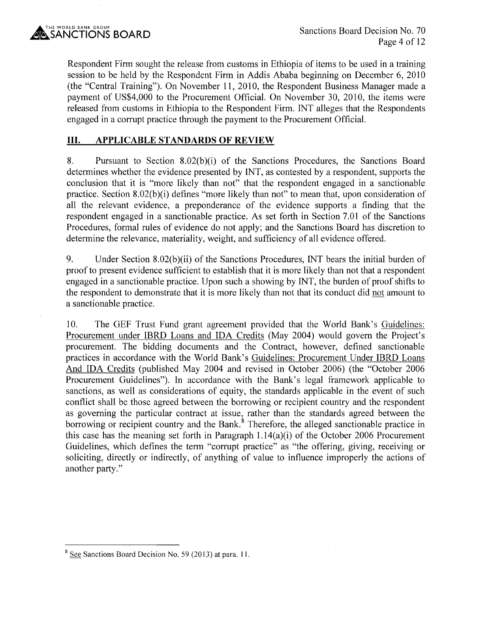

Respondent Firm sought the release from customs in Ethiopia of items to be used in a training session to be held by the Respondent Firm in Addis Ababa beginning on December 6, 2010 (the "Central Training"). On November 11, 2010, the Respondent Business Manager made a payment of US\$4,000 to the Procurement Official. On November 30, 2010, the items were released from customs in Ethiopia to the Respondent Firm. INT alleges that the Respondents engaged in a corrupt practice through the payment to the Procurement Official.

# **III. APPLICABLE STANDARDS OF REVIEW**

8. Pursuant to Section 8.02(b)(i) of the Sanctions Procedures, the Sanctions Board determines whether the evidence presented by INT, as contested by a respondent, supports the conclusion that it is "more likely than not" that the respondent engaged in a sanctionable practice. Section  $8.02(b)(i)$  defines "more likely than not" to mean that, upon consideration of all the relevant evidence, a preponderance of the evidence supports a finding that the respondent engaged in a sanctionable practice. As set forth in Section 7.01 of the Sanctions Procedures, formal rules of evidence do not apply; and the Sanctions Board has discretion to determine the relevance, materiality, weight, and sufficiency of all evidence offered.

9. Under Section 8.02(b)(ii) of the Sanctions Procedures, INT bears the initial burden of proof to present evidence sufficient to establish that it is more likely than not that a respondent engaged in a sanctionable practice. Upon such a showing by INT, the burden of proof shifts to the respondent to demonstrate that it is more likely than not that its conduct did not amount to a sanctionable practice.

10. The GEF Trust Fund grant agreement provided that the World Bank's Guidelines: Procurement under IBRD Loans and IDA Credits (May 2004) would govern the Project's procurement. The bidding documents and the Contract, however, defined sanctionable practices in accordance with the World Bank's Guidelines: Procurement Under IBRD Loans And IDA Credits (published May 2004 and revised in October 2006) (the "October 2006 Procurement Guidelines"). In accordance with the Bank's legal framework applicable to sanctions, as well as considerations of equity, the standards applicable in the event of such conflict shall be those agreed between the borrowing or recipient country and the respondent as governing the particular contract at issue, rather than the standards agreed between the borrowing or recipient country and the Bank.<sup>8</sup> Therefore, the alleged sanctionable practice in this case has the meaning set forth in Paragraph  $1.14(a)(i)$  of the October 2006 Procurement Guidelines, which defines the term "corrupt practice" as "the offering, giving, receiving or soliciting, directly or indirectly, of anything of value to influence improperly the actions of another party."

<sup>&</sup>lt;sup>8</sup> See Sanctions Board Decision No. 59 (2013) at para. 11.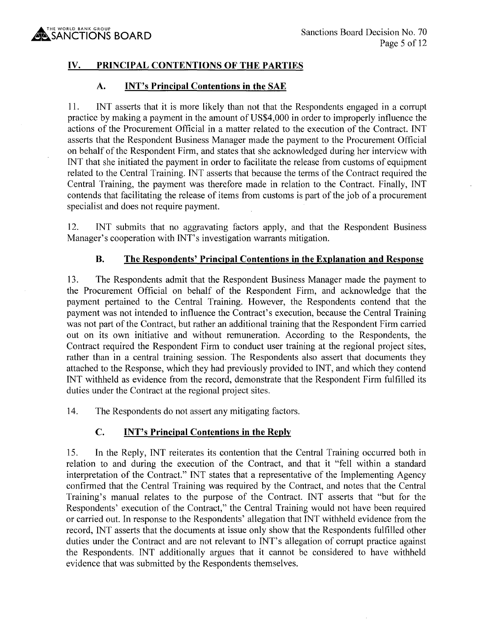# **IV. PRINCIPAL CONTENTIONS OF THE PARTIES**

### **A. INT's Principal Contentions in the SAE**

11. INT asserts that it is more likely than not that the Respondents engaged in a corrupt practice by making a payment in the amount of US\$4,000 in order to improperly influence the actions of the Procurement Official in a matter related to the execution of the Contract. INT asserts that the Respondent Business Manager made the payment to the Procurement Official on behalf of the Respondent Firm, and states that she acknowledged during her interview with INT that she initiated the payment in order to facilitate the release from customs of equipment related to the Central Training. INT asserts that because the terms of the Contract required the Central Training, the payment was therefore made in relation to the Contract. Finally, INT contends that facilitating the release of items from customs is part of the job of a procurement specialist and does not require payment.

12. INT submits that no aggravating factors apply, and that the Respondent Business Manager's cooperation with INT's investigation warrants mitigation.

# **B. The Respondents' Principal Contentions in the Explanation and Response**

13. The Respondents admit that the Respondent Business Manager made the payment to the Procurement Official on behalf of the Respondent Firm, and acknowledge that the payment pertained to the Central Training. However, the Respondents contend that the payment was not intended to influence the Contract's execution, because the Central Training was not part of the Contract, but rather an additional training that the Respondent Firm carried out on its own initiative and without remuneration. According to the Respondents, the Contract required the Respondent Firm to conduct user training at the regional project sites, rather than in a central training session. The Respondents also assert that documents they attached to the Response, which they had previously provided to INT, and which they contend INT withheld as evidence from the record, demonstrate that the Respondent Firm fulfilled its duties under the Contract at the regional project sites.

14. The Respondents do not assert any mitigating factors.

### **C. INT's Principal Contentions in the Reply**

15. In the Reply, INT reiterates its contention that the Central Training occurred both in relation to and during the execution of the Contract, and that it "fell within a standard interpretation of the Contract." INT states that a representative of the Implementing Agency confirmed that the Central Training was required by the Contract, and notes that the Central Training's manual relates to the purpose of the Contract. INT asserts that "but for the Respondents' execution of the Contract," the Central Training would not have been required or carried out. In response to the Respondents' allegation that INT withheld evidence from the record, INT asserts that the documents at issue only show that the Respondents fulfilled other duties under the Contract and are not relevant to INT's allegation of corrupt practice against the Respondents. INT additionally argues that it cannot be considered to have withheld evidence that was submitted by the Respondents themselves.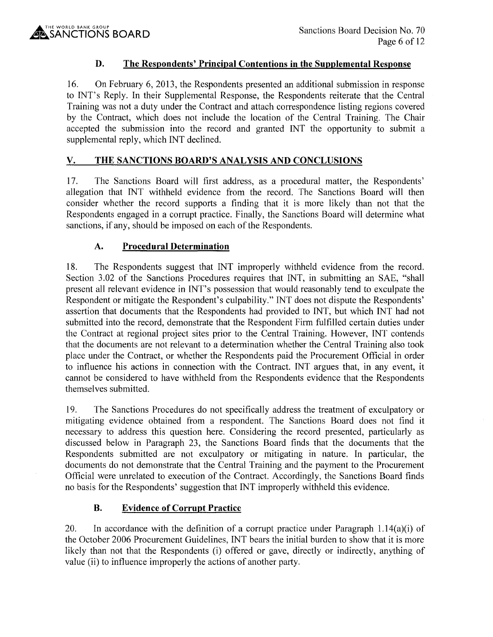# **D. The Respondents' Principal Contentions in the Supplemental Response**

16. On February 6, 2013, the Respondents presented an additional submission in response to INT's Reply. In their Supplemental Response, the Respondents reiterate that the Central Training was not a duty under the Contract and attach correspondence listing regions covered by the Contract, which does not include the location of the Central Training. The Chair accepted the submission into the record and granted INT the opportunity to submit a supplemental reply, which INT declined.

# **V. THE SANCTIONS BOARD'S ANALYSIS AND CONCLUSIONS**

17. The Sanctions Board will first address, as a procedural matter, the Respondents' allegation that INT withheld evidence from the record. The Sanctions Board will then consider whether the record supports a finding that it is more likely than not that the Respondents engaged in a corrupt practice. Finally, the Sanctions Board will determine what sanctions, if any, should be imposed on each of the Respondents.

# **A. Procedural Determination**

18. The Respondents suggest that INT improperly withheld evidence from the record. Section 3.02 of the Sanctions Procedures requires that INT, in submitting an SAE, "shall present all relevant evidence in INT's possession that would reasonably tend to exculpate the Respondent or mitigate the Respondent's culpability." INT does not dispute the Respondents' assertion that documents that the Respondents had provided to INT, but which INT had not submitted into the record, demonstrate that the Respondent Firm fulfilled certain duties under the Contract at regional project sites prior to the Central Training. However, INT contends that the documents are not relevant to a determination whether the Central Training also took place under the Contract, or whether the Respondents paid the Procurement Official in order to influence his actions in connection with the Contract. INT argues that, in any event, it cannot be considered to have withheld from the Respondents evidence that the Respondents themselves submitted.

19. The Sanctions Procedures do not specifically address the treatment of exculpatory or mitigating evidence obtained from a respondent. The Sanctions Board does not find it necessary to address this question here. Considering the record presented, particularly as discussed below in Paragraph 23, the Sanctions Board finds that the documents that the Respondents submitted are not exculpatory or mitigating in nature. In particular, the documents do not demonstrate that the Central Training and the payment to the Procurement Official were unrelated to execution of the Contract. Accordingly, the Sanctions Board finds no basis for the Respondents' suggestion that INT improperly withheld this evidence.

### **B. Evidence of Corrupt Practice**

20. In accordance with the definition of a corrupt practice under Paragraph  $1.14(a)(i)$  of the October 2006 Procurement Guidelines, INT bears the initial burden to show that it is more likely than not that the Respondents (i) offered or gave, directly or indirectly, anything of value (ii) to influence improperly the actions of another party.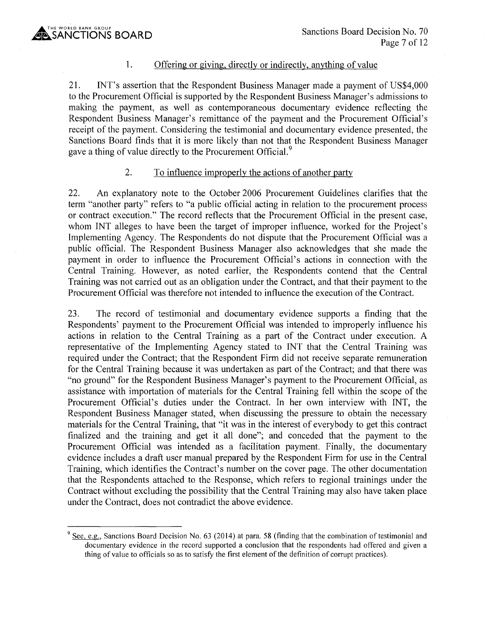1.

#### Offering or giving, directly or indirectly, anything of value

21. INT's assertion that the Respondent Business Manager made a payment of US\$4,000 to the Procurement Official is supported by the Respondent Business Manager's admissions to making the payment, as well as contemporaneous documentary evidence reflecting the Respondent Business Manager's remittance of the payment and the Procurement Official's receipt of the payment. Considering the testimonial and documentary evidence presented, the Sanctions Board finds that it is more likely than not that the Respondent Business Manager gave a thing of value directly to the Procurement Official.<sup>9</sup>

#### 2. To influence improperly the actions of another party

22. An explanatory note to the October 2006 Procurement Guidelines clarifies that the term "another party" refers to "a public official acting in relation to the procurement process or contract execution." The record reflects that the Procurement Official in the present case, whom INT alleges to have been the target of improper influence, worked for the Project's Implementing Agency. The Respondents do not dispute that the Procurement Official was a public official. The Respondent Business Manager also acknowledges that she made the payment in order to influence the Procurement Official's actions in connection with the Central Training. However, as noted earlier, the Respondents contend that the Central Training was not carried out as an obligation under the Contract, and that their payment to the Procurement Official was therefore not intended to influence the execution of the Contract.

23. The record of testimonial and documentary evidence supports a finding that the Respondents' payment to the Procurement Official was intended to improperly influence his actions in relation to the Central Training as a part of the Contract under execution. A representative of the Implementing Agency stated to INT that the Central Training was required under the Contract; that the Respondent Firm did not receive separate remuneration for the Central Training because it was undertaken as part of the Contract; and that there was "no ground" for the Respondent Business Manager's payment to the Procurement Official, as assistance with importation of materials for the Central Training fell within the scope of the Procurement Official's duties under the Contract. In her own interview with INT, the Respondent Business Manager stated, when discussing the pressure to obtain the necessary materials for the Central Training, that "it was in the interest of everybody to get this contract finalized and the training and get it all done"; and conceded that the payment to the Procurement Official was intended as a facilitation payment. Finally, the documentary evidence includes a draft user manual prepared by the Respondent Firm for use in the Central Training, which identifies the Contract's number on the cover page. The other documentation that the Respondents attached to the Response, which refers to regional trainings under the Contract without excluding the possibility that the Central Training may also have taken place under the Contract, does not contradict the above evidence.

<sup>&</sup>lt;sup>9</sup> See, e.g., Sanctions Board Decision No. 63 (2014) at para. 58 (finding that the combination of testimonial and documentary evidence in the record supported a conclusion that the respondents had offered and given a thing of value to officials so as to satisfy the first element of the definition of corrupt practices).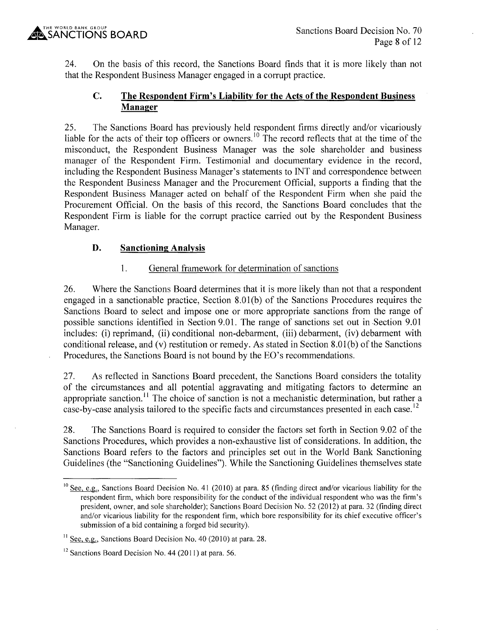24. On the basis of this record, the Sanctions Board finds that it is more likely than not that the Respondent Business Manager engaged in a corrupt practice.

# **C. The Respondent Firm's Liability for the Acts of the Respondent Business Manager**

25. The Sanctions Board has previously held respondent firms directly and/or vicariously liable for the acts of their top officers or owners.<sup>10</sup> The record reflects that at the time of the misconduct, the Respondent Business Manager was the sole shareholder and business manager of the Respondent Firm. Testimonial and documentary evidence in the record, including the Respondent Business Manager's statements to INT and correspondence between the Respondent Business Manager and the Procurement Official, supports a finding that the Respondent Business Manager acted on behalf of the Respondent Firm when she paid the Procurement Official. On the basis of this record, the Sanctions Board concludes that the Respondent Firm is liable for the corrupt practice carried out by the Respondent Business Manager.

# **D. Sanctioning Analysis**

# 1. General framework for determination of sanctions

26. Where the Sanctions Board determines that it is more likely than not that a respondent engaged in a sanctionable practice, Section 8.01 (b) of the Sanctions Procedures requires the Sanctions Board to select and impose one or more appropriate sanctions from the range of possible sanctions identified in Section 9.01. The range of sanctions set out in .Section 9.01 includes: (i) reprimand, (ii) conditional non-debarment, (iii) debarment, (iv) debarment with conditional release, and (v) restitution or remedy. As stated in Section 8.0l(b) of the Sanctions Procedures, the Sanctions Board is not bound by the EO's recommendations.

27. As reflected in Sanctions Board precedent, the Sanctions Board considers the totality of the circumstances and all potential aggravating and mitigating factors to determine an appropriate sanction.<sup>11</sup> The choice of sanction is not a mechanistic determination, but rather a case-by-case analysis tailored to the specific facts and circumstances presented in each case.<sup>12</sup>

28. The Sanctions Board is required to consider the factors set forth in Section 9.02 of the Sanctions Procedures, which provides a non-exhaustive list of considerations. In addition, the Sanctions Board refers to the factors and principles set out in the World Bank Sanctioning Guidelines (the "Sanctioning Guidelines"). While the Sanctioning Guidelines themselves state

 $10$  See, e.g., Sanctions Board Decision No. 41 (2010) at para. 85 (finding direct and/or vicarious liability for the respondent firm, which bore responsibility for the conduct of the individual respondent who was the firm's president, owner, and sole shareholder); Sanctions Board Decision No. 52(2012) at para. 32 (finding direct and/or vicarious liability for the respondent firm, which bore responsibility for its chief executive officer's submission of a bid containing a forged bid security).

 $11$  See, e.g., Sanctions Board Decision No. 40 (2010) at para. 28.

 $12$  Sanctions Board Decision No. 44 (2011) at para. 56.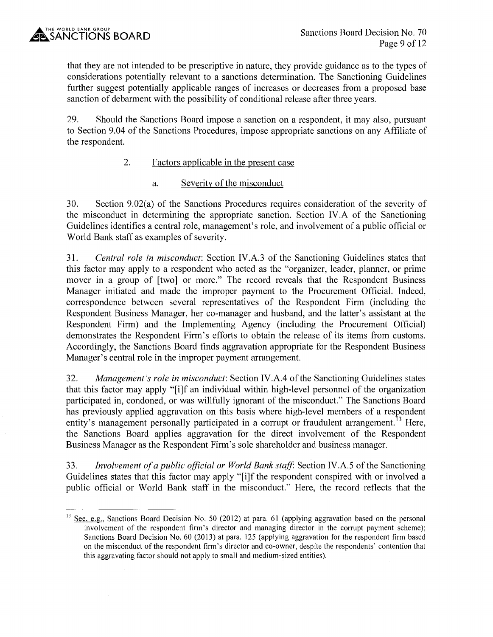that they are not intended to be prescriptive in nature, they provide guidance as to the types of considerations potentially relevant to a sanctions determination. The Sanctioning Guidelines further suggest potentially applicable ranges of increases or decreases from a proposed base sanction of debarment with the possibility of conditional release after three years.

29. Should the Sanctions Board impose a sanction on a respondent, it may also, pursuant to Section 9.04 of the Sanctions Procedures, impose appropriate sanctions on any Affiliate of the respondent.

# 2. Factors applicable in the present case

a. Severity of the misconduct

30. Section 9.02(a) of the Sanctions Procedures requires consideration of the severity of the misconduct in determining the appropriate sanction. Section IV .A of the Sanctioning Guidelines identifies a central role, management's role, and involvement of a public official or World Bank staff as examples of severity.

31. *Central role in misconduct:* Section IV.A.3 of the Sanctioning Guidelines states that this factor may apply to a respondent who acted as the "organizer, leader, planner, or prime mover in a group of [two] or more." The record reveals that the Respondent Business Manager initiated and made the improper payment to the Procurement Official. Indeed, correspondence between several representatives of the Respondent Firm (including the Respondent Business Manager, her co-manager and husband, and the latter's assistant at the Respondent Firm) and the Implementing Agency (including the Procurement Official) demonstrates the Respondent Firm's efforts to obtain the release of its items from customs. Accordingly, the Sanctions Board finds aggravation appropriate for the Respondent Business Manager's central role in the improper payment arrangement.

32. *Management's role in misconduct:* Section IV .A.4 of the Sanctioning Guidelines states that this factor may apply "[i]f an individual within high-level personnel of the organization participated in, condoned, or was willfully ignorant of the misconduct." The Sanctions Board has previously applied aggravation on this basis where high-level members of a respondent entity's management personally participated in a corrupt or fraudulent arrangement.<sup>13</sup> Here, the Sanctions Board applies aggravation for the direct involvement of the Respondent Business Manager as the Respondent Firm's sole shareholder and business manager.

33. *Involvement of a public official or World Bank staff:* Section IV.A.5 of the Sanctioning Guidelines states that this factor may apply "[i]f the respondent conspired with or involved a public official or World Bank staff in the misconduct." Here, the record reflects that the

<sup>&</sup>lt;sup>13</sup> See, e.g., Sanctions Board Decision No. 50 (2012) at para. 61 (applying aggravation based on the personal involvement of the respondent firm's director and managing director in the corrupt payment scheme); Sanctions Board Decision No. 60 (2013) at para. 125 (applying aggravation for the respondent firm based on the misconduct of the respondent firm's director and co-owner, despite the respondents' contention that this aggravating factor should not apply to small and medium-sized entities).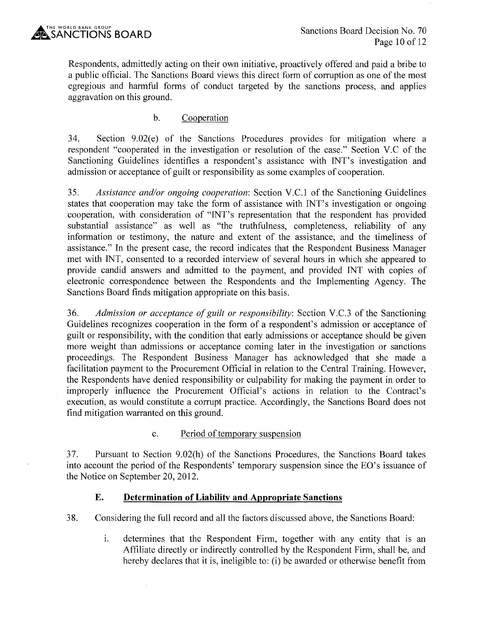Respondents, admittedly acting on their own initiative, proactively offered and paid a bribe to a public official. The Sanctions Board views this direct form of corruption as one of the most egregious and harmful forms of conduct targeted by the sanctions process, and applies aggravation on this ground.

# b. Cooperation

34. Section 9.02(e) of the Sanctions Procedures provides for mitigation where a respondent "cooperated in the investigation or resolution of the case." Section V.C of the Sanctioning Guidelines identifies a respondent's assistance with INT's investigation and admission or acceptance of guilt or responsibility as some examples of cooperation.

35. *Assistance and/or ongoing cooperation:* Section V.C.1 of the Sanctioning Guidelines states that cooperation may take the form of assistance with INT's investigation or ongoing cooperation, with consideration of "INT's representation that the respondent has provided substantial assistance" as well as "the truthfulness, completeness, reliability of any information or testimony, the nature and extent of the assistance, and the timeliness of assistance." In the present case, the record indicates that the Respondent Business Manager met with INT, consented to a recorded interview of several hours in which she appeared to provide candid answers and admitted to the payment, and provided INT with copies of electronic correspondence between the Respondents and the Implementing Agency. The Sanctions Board finds mitigation appropriate on this basis.

36. *Admission or acceptance of guilt or responsibility:* Section V.C.3 of the Sanctioning Guidelines recognizes cooperation in the form of a respondent's admission or acceptance of guilt or responsibility, with the condition that early admissions or acceptance should be given more weight than admissions or acceptance coming later in the investigation or sanctions proceedings. The Respondent Business Manager has acknowledged that she made a facilitation payment to the Procurement Official in relation to the Central Training. However, the Respondents have denied responsibility or culpability for making the payment in order to improperly influence the Procurement Official's actions in relation to the Contract's execution, as would constitute a corrupt practice. Accordingly, the Sanctions Board does not find mitigation warranted on this ground.

### c. Period of temporary suspension

37. Pursuant to Section 9.02(h) of the Sanctions Procedures, the Sanctions Board takes into account the period of the Respondents' temporary suspension since the EO's issuance of the Notice on September 20, 2012.

### **E. Determination of Liability and Appropriate Sanctions**

38. Considering the full record and all the factors discussed above, the Sanctions Board:

i. determines that the Respondent Firm, together with any entity that is an Affiliate directly or indirectly controlled by the Respondent Firm, shall be, and hereby declares that it is, ineligible to: (i) be awarded or otherwise benefit from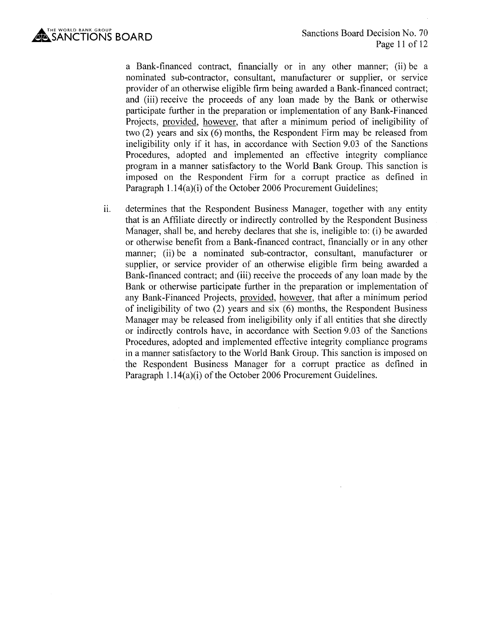

a Bank-financed contract, financially or in any other manner; (ii) be a nominated sub-contractor, consultant, manufacturer or supplier, or service provider of an otherwise eligible firm being awarded a Bank-financed contract; and (iii) receive the proceeds of any loan made by the Bank or otherwise participate further in the preparation or implementation of any Bank-Financed Projects, provided, however, that after a minimum period of ineligibility of two (2) years and six (6) months, the Respondent Firm may be released from ineligibility only if it has, in accordance with Section 9.03 of the Sanctions Procedures, adopted and implemented an effective integrity compliance program in a manner satisfactory to the World Bank Group. This sanction is imposed on the Respondent Firm for a corrupt practice as defined in Paragraph 1.14(a)(i) of the October 2006 Procurement Guidelines;

ii. determines that the Respondent Business Manager, together with any entity that is an Affiliate directly or indirectly controlled by the Respondent Business Manager, shall be, and hereby declares that she is, ineligible to: (i) be awarded or otherwise benefit from a Bank-financed contract, financially or in any other manner; (ii) be a nominated sub-contractor, consultant, manufacturer or supplier, or service provider of an otherwise eligible firm being awarded a Bank-financed contract; and (iii) receive the proceeds of any loan made by the Bank or otherwise participate further in the preparation or implementation of any Bank-Financed Projects, provided, however, that after a minimum period of ineligibility of two (2) years and six (6) months, the Respondent Business Manager may be released from ineligibility only if all entities that she directly or indirectly controls have, in accordance with Section 9.03 of the Sanctions Procedures, adopted and implemented effective integrity compliance programs in a manner satisfactory to the World Bank Group. This sanction is imposed on the Respondent Business Manager for a corrupt practice as defined in Paragraph 1.14(a)(i) of the October 2006 Procurement Guidelines.